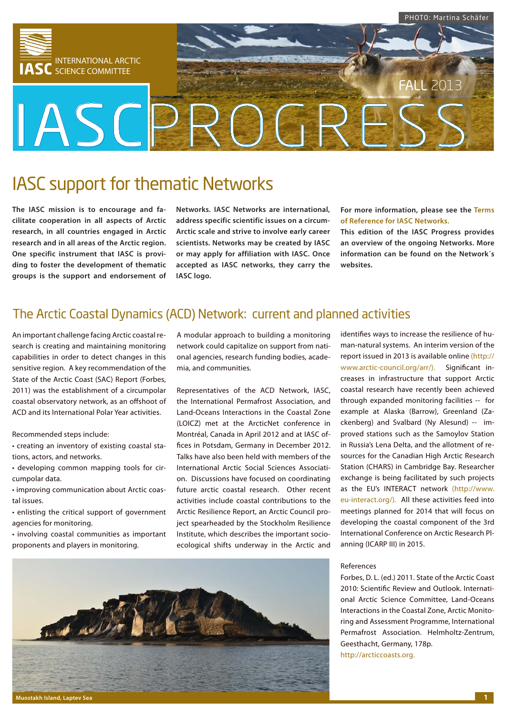

# IASC support for thematic Networks

**The IASC mission is to encourage and facilitate cooperation in all aspects of Arctic research, in all countries engaged in Arctic research and in all areas of the Arctic region. One specific instrument that IASC is providing to foster the development of thematic groups is the support and endorsement of**  **Networks. IASC Networks are international, address specific scientific issues on a circum-Arctic scale and strive to involve early career scientists. Networks may be created by IASC or may apply for affiliation with IASC. Once accepted as IASC networks, they carry the IASC logo.** 

**For more information, please see the [Terms](http://iasc.info/home/networks)  [of Reference for IASC Networks.](http://iasc.info/home/networks)**

**This edition of the IASC Progress provides an overview of the ongoing Networks. More information can be found on the Network´s websites.**

## The Arctic Coastal Dynamics (ACD) Network: current and planned activities

An important challenge facing Arctic coastal research is creating and maintaining monitoring capabilities in order to detect changes in this sensitive region. A key recommendation of the State of the Arctic Coast (SAC) Report (Forbes, 2011) was the establishment of a circumpolar coastal observatory network, as an offshoot of ACD and its International Polar Year activities.

Recommended steps include:

- creating an inventory of existing coastal stations, actors, and networks.
- developing common mapping tools for circumpolar data.
- improving communication about Arctic coastal issues.
- enlisting the critical support of government agencies for monitoring.
- involving coastal communities as important proponents and players in monitoring.

A modular approach to building a monitoring network could capitalize on support from national agencies, research funding bodies, academia, and communities.

Representatives of the ACD Network, IASC, the International Permafrost Association, and Land-Oceans Interactions in the Coastal Zone (LOICZ) met at the ArcticNet conference in Montréal, Canada in April 2012 and at IASC offices in Potsdam, Germany in December 2012. Talks have also been held with members of the International Arctic Social Sciences Association. Discussions have focused on coordinating future arctic coastal research. Other recent activities include coastal contributions to the Arctic Resilience Report, an Arctic Council project spearheaded by the Stockholm Resilience Institute, which describes the important socioecological shifts underway in the Arctic and

identifies ways to increase the resilience of human-natural systems. An interim version of the report issued in 2013 is available online ([http://](http://www.arctic-council.org/arr/) [www.arctic-council.org/arr/\)](http://www.arctic-council.org/arr/). Significant increases in infrastructure that support Arctic coastal research have recently been achieved through expanded monitoring facilities -- for example at Alaska (Barrow), Greenland (Zackenberg) and Svalbard (Ny Alesund) -- improved stations such as the Samoylov Station in Russia's Lena Delta, and the allotment of resources for the Canadian High Arctic Research Station (CHARS) in Cambridge Bay. Researcher exchange is being facilitated by such projects as the EU's INTERACT network ([http://www.](http://www.eu-interact.org/) [eu-interact.org/\)](http://www.eu-interact.org/). All these activities feed into meetings planned for 2014 that will focus on developing the coastal component of the 3rd International Conference on Arctic Research Planning (ICARP III) in 2015.

### References

Forbes, D. L. (ed.) 2011. State of the Arctic Coast 2010: Scientific Review and Outlook. International Arctic Science Committee, Land-Oceans Interactions in the Coastal Zone, Arctic Monitoring and Assessment Programme, International Permafrost Association. Helmholtz-Zentrum, Geesthacht, Germany, 178p. <http://arcticcoasts.org>.

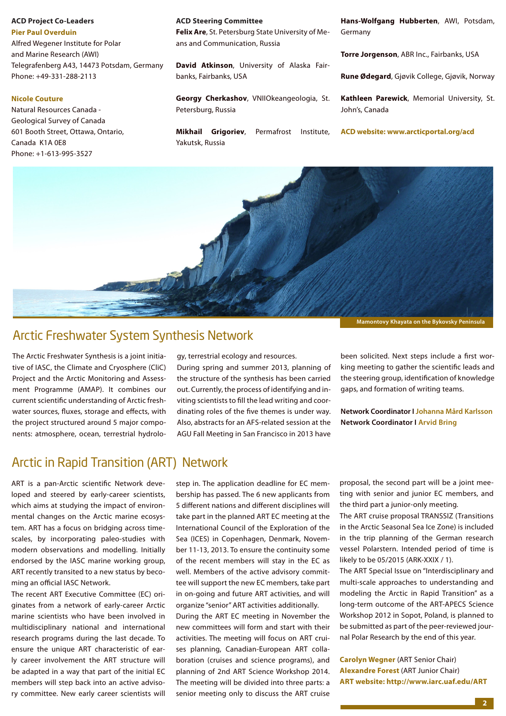**ACD Project Co-Leaders [Pier Paul Overduin](mailto:Paul.Overduin@awi.de)** Alfred Wegener Institute for Polar and Marine Research (AWI) Telegrafenberg A43, 14473 Potsdam, Germany Phone: +49-331-288-2113

### **[Nicole Couture](mailto:ncouture@nrcan.gc.ca)**

Natural Resources Canada - Geological Survey of Canada 601 Booth Street, Ottawa, Ontario, Canada K1A 0E8 Phone: +1-613-995-3527

#### **ACD Steering Committee**

**Felix Are**, St. Petersburg State University of Means and Communication, Russia

**David Atkinson**, University of Alaska Fairbanks, Fairbanks, USA

**Georgy Cherkashov**, VNIIOkeangeologia, St. Petersburg, Russia

**Mikhail Grigoriev**, Permafrost Institute, Yakutsk, Russia

**Hans-Wolfgang Hubberten**, AWI, Potsdam, Germany

**Torre Jorgenson**, ABR Inc., Fairbanks, USA

**Rune Ødegard**, Gjøvik College, Gjøvik, Norway

**Kathleen Parewick**, Memorial University, St. John's, Canada

**ACD website: [www.arcticportal.org/acd](http://www.arcticportal.org/acd)**



## Arctic Freshwater System Synthesis Network

The Arctic Freshwater Synthesis is a joint initiative of IASC, the Climate and Cryosphere (CliC) Project and the Arctic Monitoring and Assessment Programme (AMAP). It combines our current scientific understanding of Arctic freshwater sources, fluxes, storage and effects, with the project structured around 5 major components: atmosphere, ocean, terrestrial hydrology, terrestrial ecology and resources.

During spring and summer 2013, planning of the structure of the synthesis has been carried out. Currently, the process of identifying and inviting scientists to fill the lead writing and coordinating roles of the five themes is under way. Also, abstracts for an AFS-related session at the AGU Fall Meeting in San Francisco in 2013 have been solicited. Next steps include a first working meeting to gather the scientific leads and the steering group, identification of knowledge gaps, and formation of writing teams.

**Network Coordinator I [Johanna Mård Karlsson](mailto:johanna.maard@natgeo.su.se) Network Coordinator I [Arvid Bring](mailto:arvid.bring@natgeo.su.se)**

## Arctic in Rapid Transition (ART) Network

ART is a pan-Arctic scientific Network developed and steered by early-career scientists, which aims at studying the impact of environmental changes on the Arctic marine ecosystem. ART has a focus on bridging across timescales, by incorporating paleo-studies with modern observations and modelling. Initially endorsed by the IASC marine working group, ART recently transited to a new status by becoming an official IASC Network.

The recent ART Executive Committee (EC) originates from a network of early-career Arctic marine scientists who have been involved in multidisciplinary national and international research programs during the last decade. To ensure the unique ART characteristic of early career involvement the ART structure will be adapted in a way that part of the initial EC members will step back into an active advisory committee. New early career scientists will

step in. The application deadline for EC membership has passed. The 6 new applicants from 5 different nations and different disciplines will take part in the planned ART EC meeting at the International Council of the Exploration of the Sea (ICES) in Copenhagen, Denmark, November 11-13, 2013. To ensure the continuity some of the recent members will stay in the EC as well. Members of the active advisory committee will support the new EC members, take part in on-going and future ART activities, and will organize "senior" ART activities additionally.

During the ART EC meeting in November the new committees will form and start with their activities. The meeting will focus on ART cruises planning, Canadian-European ART collaboration (cruises and science programs), and planning of 2nd ART Science Workshop 2014. The meeting will be divided into three parts: a senior meeting only to discuss the ART cruise

proposal, the second part will be a joint meeting with senior and junior EC members, and the third part a junior-only meeting.

The ART cruise proposal TRANSSIZ (Transitions in the Arctic Seasonal Sea Ice Zone) is included in the trip planning of the German research vessel Polarstern. Intended period of time is likely to be 05/2015 (ARK-XXIX / 1).

The ART Special Issue on "Interdisciplinary and multi-scale approaches to understanding and modeling the Arctic in Rapid Transition" as a long-term outcome of the ART-APECS Science Workshop 2012 in Sopot, Poland, is planned to be submitted as part of the peer-reviewed journal Polar Research by the end of this year.

**[Carolyn Wegner](mailto:cwegner@geomar.de)** (ART Senior Chair) **[Alexandre Forest](mailto:alexandre.forest@takuvik.ulaval.ca)** (ART Junior Chair) **ART website: http:/[/www.iarc.uaf.edu/ART](http://www.iarc.uaf.edu/ART)**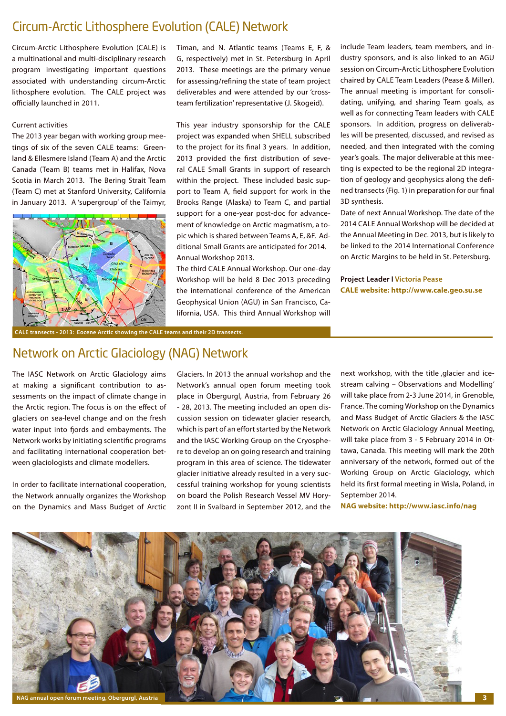## Circum-Arctic Lithosphere Evolution (CALE) Network

Circum-Arctic Lithosphere Evolution (CALE) is a multinational and multi-disciplinary research program investigating important questions associated with understanding circum-Arctic lithosphere evolution. The CALE project was officially launched in 2011.

### Current activities

The 2013 year began with working group meetings of six of the seven CALE teams: Greenland & Ellesmere Island (Team A) and the Arctic Canada (Team B) teams met in Halifax, Nova Scotia in March 2013. The Bering Strait Team (Team C) met at Stanford University, California in January 2013. A 'supergroup' of the Taimyr,



Timan, and N. Atlantic teams (Teams E, F, & G, respectively) met in St. Petersburg in April 2013. These meetings are the primary venue for assessing/refining the state of team project deliverables and were attended by our 'crossteam fertilization' representative (J. Skogeid).

This year industry sponsorship for the CALE project was expanded when SHELL subscribed to the project for its final 3 years. In addition, 2013 provided the first distribution of several CALE Small Grants in support of research within the project. These included basic support to Team A, field support for work in the Brooks Range (Alaska) to Team C, and partial support for a one-year post-doc for advancement of knowledge on Arctic magmatism, a topic which is shared between Teams A, E, &F. Additional Small Grants are anticipated for 2014. Annual Workshop 2013.

The third CALE Annual Workshop. Our one-day Workshop will be held 8 Dec 2013 preceding the international conference of the American Geophysical Union (AGU) in San Francisco, California, USA. This third Annual Workshop will

include Team leaders, team members, and industry sponsors, and is also linked to an AGU session on Circum-Arctic Lithosphere Evolution chaired by CALE Team Leaders (Pease & Miller). The annual meeting is important for consolidating, unifying, and sharing Team goals, as well as for connecting Team leaders with CALE sponsors. In addition, progress on deliverables will be presented, discussed, and revised as needed, and then integrated with the coming year's goals. The major deliverable at this meeting is expected to be the regional 2D integration of geology and geophysics along the defined transects (Fig. 1) in preparation for our final 3D synthesis.

Date of next Annual Workshop. The date of the 2014 CALE Annual Workshop will be decided at the Annual Meeting in Dec. 2013, but is likely to be linked to the 2014 International Conference on Arctic Margins to be held in St. Petersburg.

**Project Leader I [Victoria Pease](mailto:Vicky.pease@geo.su.se) CALE website: http://[www.cale.geo.su.se](http://www.cale.geo.su.se)**

**CALE transects - 2013: Eocene Arctic showing the CALE teams and their 2D transects.**

## Network on Arctic Glaciology (NAG) Network

The IASC Network on Arctic Glaciology aims at making a significant contribution to assessments on the impact of climate change in the Arctic region. The focus is on the effect of glaciers on sea-level change and on the fresh water input into fjords and embayments. The Network works by initiating scientific programs and facilitating international cooperation between glaciologists and climate modellers.

In order to facilitate international cooperation, the Network annually organizes the Workshop on the Dynamics and Mass Budget of Arctic

Glaciers. In 2013 the annual workshop and the Network's annual open forum meeting took place in Obergurgl, Austria, from February 26 - 28, 2013. The meeting included an open discussion session on tidewater glacier research, which is part of an effort started by the Network and the IASC Working Group on the Cryosphere to develop an on going research and training program in this area of science. The tidewater glacier initiative already resulted in a very successful training workshop for young scientists on board the Polish Research Vessel MV Horyzont II in Svalbard in September 2012, and the next workshop, with the title , glacier and icestream calving – Observations and Modelling' will take place from 2-3 June 2014, in Grenoble, France. The coming Workshop on the Dynamics and Mass Budget of Arctic Glaciers & the IASC Network on Arctic Glaciology Annual Meeting, will take place from 3 - 5 February 2014 in Ottawa, Canada. This meeting will mark the 20th anniversary of the network, formed out of the Working Group on Arctic Glaciology, which held its first formal meeting in Wisla, Poland, in September 2014.

**NAG website: http:/[/www.iasc.info/nag](http://www.iasc.info/nag)**

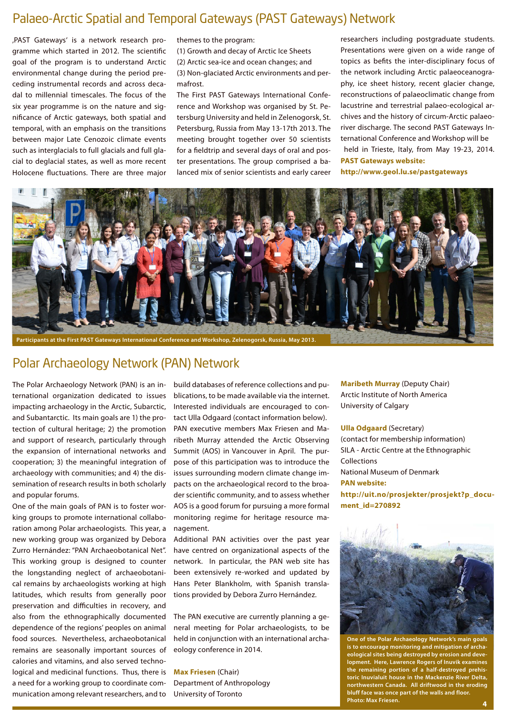## Palaeo-Arctic Spatial and Temporal Gateways (PAST Gateways) Network

'PAST Gateways' is a network research programme which started in 2012. The scientific goal of the program is to understand Arctic environmental change during the period preceding instrumental records and across decadal to millennial timescales. The focus of the six year programme is on the nature and significance of Arctic gateways, both spatial and temporal, with an emphasis on the transitions between major Late Cenozoic climate events such as interglacials to full glacials and full glacial to deglacial states, as well as more recent Holocene fluctuations. There are three major

themes to the program:

(1) Growth and decay of Arctic Ice Sheets (2) Arctic sea-ice and ocean changes; and (3) Non-glaciated Arctic environments and permafrost.

The First PAST Gateways International Conference and Workshop was organised by St. Petersburg University and held in Zelenogorsk, St. Petersburg, Russia from May 13-17th 2013. The meeting brought together over 50 scientists for a fieldtrip and several days of oral and poster presentations. The group comprised a balanced mix of senior scientists and early career researchers including postgraduate students. Presentations were given on a wide range of topics as befits the inter-disciplinary focus of the network including Arctic palaeoceanography, ice sheet history, recent glacier change, reconstructions of palaeoclimatic change from lacustrine and terrestrial palaeo-ecological archives and the history of circum-Arctic palaeoriver discharge. The second PAST Gateways International Conference and Workshop will be held in Trieste, Italy, from May 19-23, 2014. **PAST Gateways website: http:/[/www.geol.lu.se/pastgateways](http://www.geol.lu.se/pastgateways)**



## Polar Archaeology Network (PAN) Network

The Polar Archaeology Network (PAN) is an international organization dedicated to issues impacting archaeology in the Arctic, Subarctic, and Subantarctic. Its main goals are 1) the protection of cultural heritage; 2) the promotion and support of research, particularly through the expansion of international networks and cooperation; 3) the meaningful integration of archaeology with communities; and 4) the dissemination of research results in both scholarly and popular forums.

One of the main goals of PAN is to foster working groups to promote international collaboration among Polar archaeologists. This year, a new working group was organized by Debora Zurro Hernández: "PAN Archaeobotanical Net". This working group is designed to counter the longstanding neglect of archaeobotanical remains by archaeologists working at high latitudes, which results from generally poor preservation and difficulties in recovery, and also from the ethnographically documented dependence of the regions' peoples on animal food sources. Nevertheless, archaeobotanical remains are seasonally important sources of calories and vitamins, and also served technological and medicinal functions. Thus, there is a need for a working group to coordinate communication among relevant researchers, and to

build databases of reference collections and publications, to be made available via the internet. Interested individuals are encouraged to contact Ulla Odgaard (contact information below). PAN executive members Max Friesen and Maribeth Murray attended the Arctic Observing Summit (AOS) in Vancouver in April. The purpose of this participation was to introduce the issues surrounding modern climate change impacts on the archaeological record to the broader scientific community, and to assess whether AOS is a good forum for pursuing a more formal monitoring regime for heritage resource management.

Additional PAN activities over the past year have centred on organizational aspects of the network. In particular, the PAN web site has been extensively re-worked and updated by Hans Peter Blankholm, with Spanish translations provided by Debora Zurro Hernández.

The PAN executive are currently planning a general meeting for Polar archaeologists, to be held in conjunction with an international archaeology conference in 2014.

**[Max Friesen](mailto:max.friesen@utoronto.ca)** (Chair) Department of Anthropology University of Toronto

**[Maribeth Murray](mailto:murraym@ucalgary.ca)** (Deputy Chair) Arctic Institute of North America University of Calgary

#### **[Ulla Odgaard](mailto:Ulla.Odgaard@natmus.dk)** (Secretary)

(contact for membership information) SILA - Arctic Centre at the Ethnographic Collections National Museum of Denmark **PAN website: [http://uit.no/prosjekter/prosjekt?p\\_docu](http://uit.no/prosjekter/prosjekt?p_document_id=270892)[ment\\_id=270892](http://uit.no/prosjekter/prosjekt?p_document_id=270892)**



**One of the Polar Archaeology Network's main goals is to encourage monitoring and mitigation of archaeological sites being destroyed by erosion and development. Here, Lawrence Rogers of Inuvik examines the remaining portion of a half-destroyed prehistoric Inuvialuit house in the Mackenzie River Delta, northwestern Canada. All driftwood in the eroding bluff face was once part of the walls and floor. Photo: Max Friesen. 4**